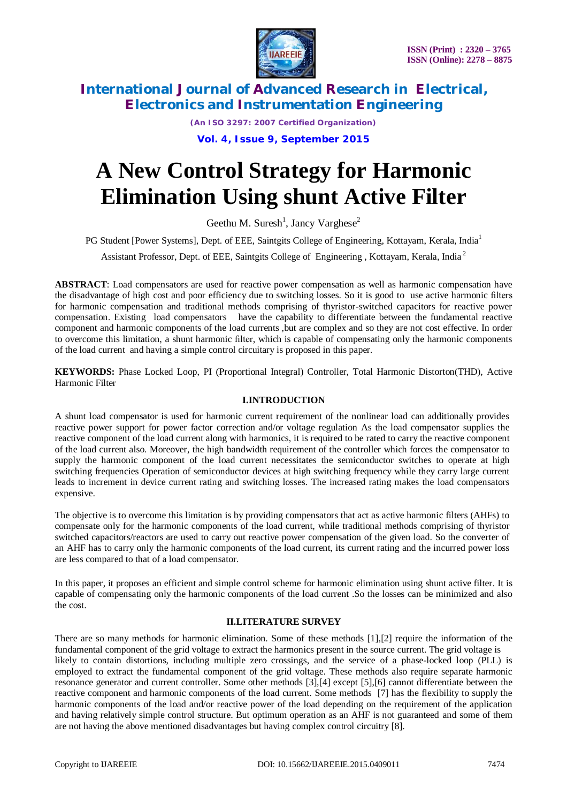

*(An ISO 3297: 2007 Certified Organization)* **Vol. 4, Issue 9, September 2015**

# **A New Control Strategy for Harmonic Elimination Using shunt Active Filter**

Geethu M. Suresh<sup>1</sup>, Jancy Varghese<sup>2</sup>

PG Student [Power Systems], Dept. of EEE, Saintgits College of Engineering, Kottayam, Kerala, India<sup>1</sup>

Assistant Professor, Dept. of EEE, Saintgits College of Engineering , Kottayam, Kerala, India <sup>2</sup>

**ABSTRACT**: Load compensators are used for reactive power compensation as well as harmonic compensation have the disadvantage of high cost and poor efficiency due to switching losses. So it is good to use active harmonic filters for harmonic compensation and traditional methods comprising of thyristor-switched capacitors for reactive power compensation. Existing load compensators have the capability to differentiate between the fundamental reactive component and harmonic components of the load currents ,but are complex and so they are not cost effective. In order to overcome this limitation, a shunt harmonic filter, which is capable of compensating only the harmonic components of the load current and having a simple control circuitary is proposed in this paper.

**KEYWORDS:** Phase Locked Loop, PI (Proportional Integral) Controller, Total Harmonic Distorton(THD), Active Harmonic Filter

### **I.INTRODUCTION**

A shunt load compensator is used for harmonic current requirement of the nonlinear load can additionally provides reactive power support for power factor correction and/or voltage regulation As the load compensator supplies the reactive component of the load current along with harmonics, it is required to be rated to carry the reactive component of the load current also. Moreover, the high bandwidth requirement of the controller which forces the compensator to supply the harmonic component of the load current necessitates the semiconductor switches to operate at high switching frequencies Operation of semiconductor devices at high switching frequency while they carry large current leads to increment in device current rating and switching losses. The increased rating makes the load compensators expensive.

The objective is to overcome this limitation is by providing compensators that act as active harmonic filters (AHFs) to compensate only for the harmonic components of the load current, while traditional methods comprising of thyristor switched capacitors/reactors are used to carry out reactive power compensation of the given load. So the converter of an AHF has to carry only the harmonic components of the load current, its current rating and the incurred power loss are less compared to that of a load compensator.

In this paper, it proposes an efficient and simple control scheme for harmonic elimination using shunt active filter. It is capable of compensating only the harmonic components of the load current .So the losses can be minimized and also the cost.

### **II.LITERATURE SURVEY**

There are so many methods for harmonic elimination. Some of these methods [1],[2] require the information of the fundamental component of the grid voltage to extract the harmonics present in the source current. The grid voltage is likely to contain distortions, including multiple zero crossings, and the service of a phase-locked loop (PLL) is employed to extract the fundamental component of the grid voltage. These methods also require separate harmonic resonance generator and current controller. Some other methods [3],[4] except [5],[6] cannot differentiate between the reactive component and harmonic components of the load current. Some methods [7] has the flexibility to supply the harmonic components of the load and/or reactive power of the load depending on the requirement of the application and having relatively simple control structure. But optimum operation as an AHF is not guaranteed and some of them are not having the above mentioned disadvantages but having complex control circuitry [8].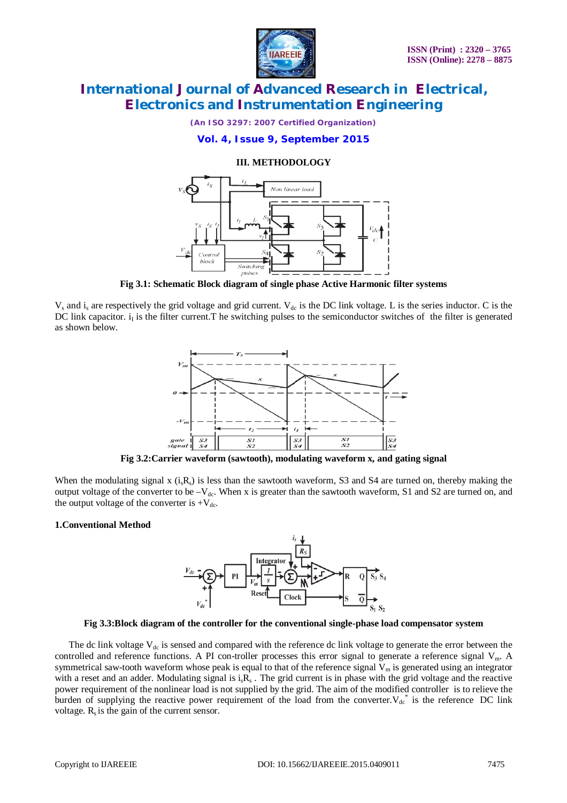

*(An ISO 3297: 2007 Certified Organization)*

**Vol. 4, Issue 9, September 2015**

### **III. METHODOLOGY**



**Fig 3.1: Schematic Block diagram of single phase Active Harmonic filter systems**

 $V_s$  and i<sub>s</sub> are respectively the grid voltage and grid current.  $V_{dc}$  is the DC link voltage. L is the series inductor. C is the DC link capacitor.  $i<sub>l</sub>$  is the filter current. The switching pulses to the semiconductor switches of the filter is generated as shown below.



**Fig 3.2:Carrier waveform (sawtooth), modulating waveform x, and gating signal**

When the modulating signal x  $(i_sR_s)$  is less than the sawtooth waveform, S3 and S4 are turned on, thereby making the output voltage of the converter to be  $-V_{dc}$ . When x is greater than the sawtooth waveform, S1 and S2 are turned on, and the output voltage of the converter is  $+V_{dc}$ .

#### **1.Conventional Method**



#### **Fig 3.3:Block diagram of the controller for the conventional single-phase load compensator system**

The dc link voltage  $V_{dc}$  is sensed and compared with the reference dc link voltage to generate the error between the controlled and reference functions. A PI con-troller processes this error signal to generate a reference signal V<sub>m</sub>. A symmetrical saw-tooth waveform whose peak is equal to that of the reference signal  $V_m$  is generated using an integrator with a reset and an adder. Modulating signal is  $i_s R_s$ . The grid current is in phase with the grid voltage and the reactive power requirement of the nonlinear load is not supplied by the grid. The aim of the modified controller is to relieve the burden of supplying the reactive power requirement of the load from the converter.  $V_{dc}^*$  is the reference DC link voltage.  $R_s$  is the gain of the current sensor.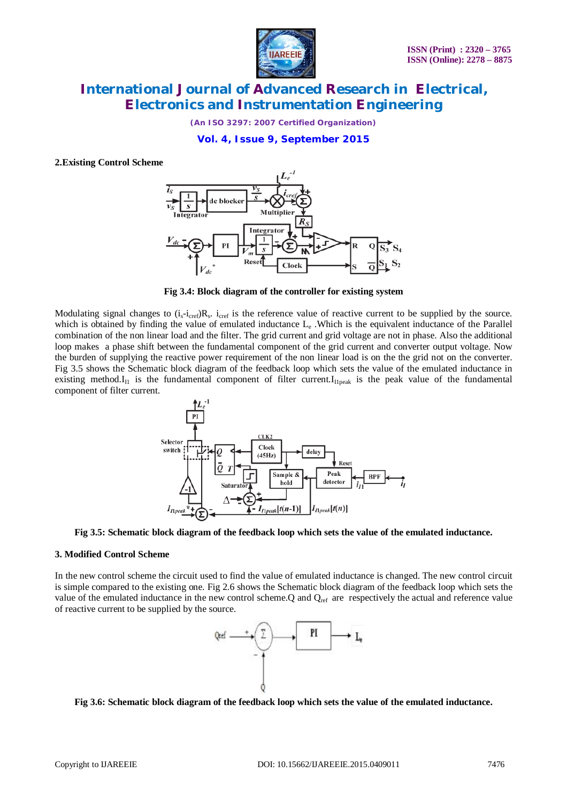

*(An ISO 3297: 2007 Certified Organization)*

**Vol. 4, Issue 9, September 2015**

**2.Existing Control Scheme**



**Fig 3.4: Block diagram of the controller for existing system**

Modulating signal changes to  $(i_s-i_{\text{pref}})R_s$ .  $i_{\text{pref}}$  is the reference value of reactive current to be supplied by the source. which is obtained by finding the value of emulated inductance L<sub>e</sub>. Which is the equivalent inductance of the Parallel combination of the non linear load and the filter. The grid current and grid voltage are not in phase. Also the additional loop makes a phase shift between the fundamental component of the grid current and converter output voltage. Now the burden of supplying the reactive power requirement of the non linear load is on the the grid not on the converter. Fig 3.5 shows the Schematic block diagram of the feedback loop which sets the value of the emulated inductance in existing method. $I_{II}$  is the fundamental component of filter current. $I_{IIpeak}$  is the peak value of the fundamental component of filter current.



**Fig 3.5: Schematic block diagram of the feedback loop which sets the value of the emulated inductance.**

#### **3. Modified Control Scheme**

In the new control scheme the circuit used to find the value of emulated inductance is changed. The new control circuit is simple compared to the existing one. Fig 2.6 shows the Schematic block diagram of the feedback loop which sets the value of the emulated inductance in the new control scheme.Q and  $Q_{ref}$  are respectively the actual and reference value of reactive current to be supplied by the source.



**Fig 3.6: Schematic block diagram of the feedback loop which sets the value of the emulated inductance.**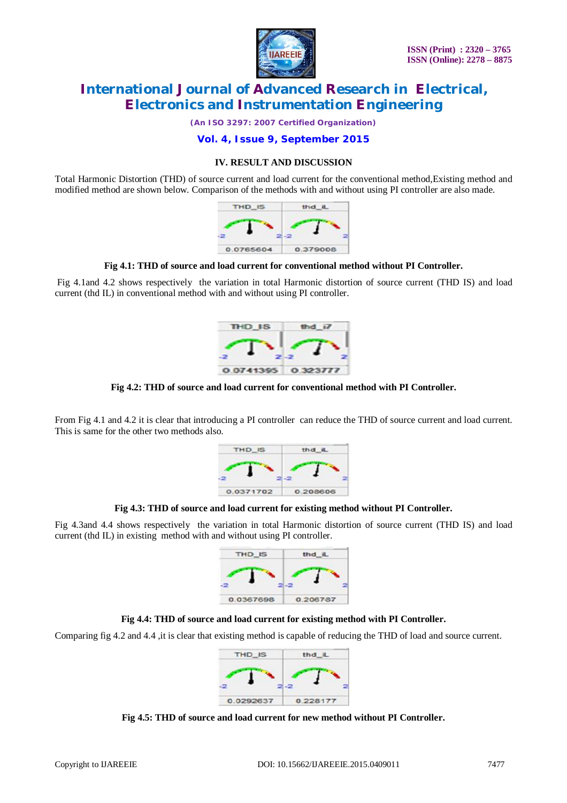

*(An ISO 3297: 2007 Certified Organization)*

**Vol. 4, Issue 9, September 2015**

### **IV. RESULT AND DISCUSSION**

Total Harmonic Distortion (THD) of source current and load current for the conventional method,Existing method and modified method are shown below. Comparison of the methods with and without using PI controller are also made.



**Fig 4.1: THD of source and load current for conventional method without PI Controller.**

Fig 4.1and 4.2 shows respectively the variation in total Harmonic distortion of source current (THD IS) and load current (thd IL) in conventional method with and without using PI controller.



**Fig 4.2: THD of source and load current for conventional method with PI Controller.**

From Fig 4.1 and 4.2 it is clear that introducing a PI controller can reduce the THD of source current and load current. This is same for the other two methods also.



**Fig 4.3: THD of source and load current for existing method without PI Controller.**

Fig 4.3and 4.4 shows respectively the variation in total Harmonic distortion of source current (THD IS) and load current (thd IL) in existing method with and without using PI controller.





Comparing fig 4.2 and 4.4 ,it is clear that existing method is capable of reducing the THD of load and source current.



**Fig 4.5: THD of source and load current for new method without PI Controller.**